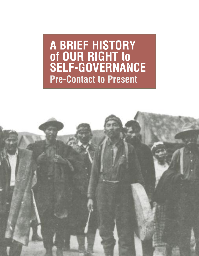**A BRIEF HISTORY of OUR RIGHT to SELF-GOVERNANCE Pre-Contact to Present**

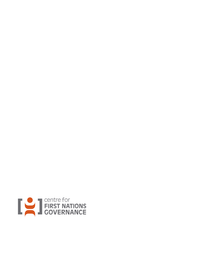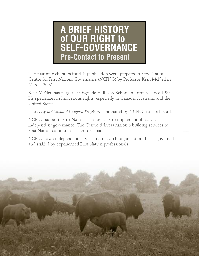## **A BRIEF HISTORY of OUR RIGHT to SELF-GOVERNANCE Pre-Contact to Present**

The first nine chapters for this publication were prepared for the National Centre for First Nations Governance (NCFNG) by Professor Kent McNeil in March, 2007.

Kent McNeil has taught at Osgoode Hall Law School in Toronto since 1987. He specializes in Indigenous rights, especially in Canada, Australia, and the United States.

The *Duty to Consult Aboriginal People* was prepared by NCFNG research staff.

NCFNG supports First Nations as they seek to implement effective, independent governance. The Centre delivers nation rebuilding services to First Nation communities across Canada.

NCFNG is an independent service and research organization that is governed and staffed by experienced First Nation professionals.

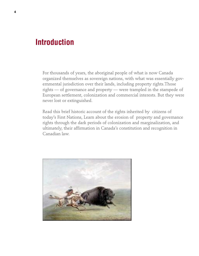## **Introduction**

For thousands of years, the aboriginal people of what is now Canada organized themselves as sovereign nations, with what was essentially governmental jurisdiction over their lands, including property rights.Those rights — of governance and property — were trampled in the stampede of European settlement, colonization and commercial interests. But they were never lost or extinguished.

Read this brief historic account of the rights inherited by citizens of today's First Nations, Learn about the erosion of property and governance rights through the dark periods of colonization and marginalization, and ultimately, their affirmation in Canada's constitution and recognition in Canadian law.

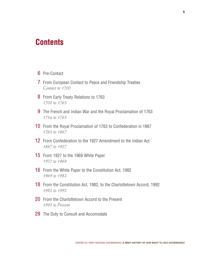## **Contents**

- Pre-Contact
- From European Contact to Peace and Friendship Treaties *Contact to 1700*
- 8 From Early Treaty Relations to 1763 *to 1763*
- The French and Indian War and the Royal Proclamation of 1763 *to 1763*
- From the Royal Proclamation of 1763 to Confederation in 1867 *to 1867*
- 12 From Confederation to the 1927 Amendment to the Indian Act *to 1927*
- From 1927 to the 1969 White Paper *to 1969*
- From the White Paper to the Constitution Act, 1982 *to 1982*
- From the Constitution Act, 1982, to the Charlottetown Accord, 1992 *to 1992*
- 20 From the Charlottetown Accord to the Present *to Present*
- 29 The Duty to Consult and Accomodate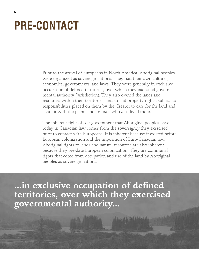# **PRE-CONTACT**

Prior to the arrival of Europeans in North America, Aboriginal peoples were organized as sovereign nations. They had their own cultures, economies, governments, and laws. They were generally in exclusive occupation of defined territories, over which they exercised governmental authority (jurisdiction). They also owned the lands and resources within their territories, and so had property rights, subject to responsibilities placed on them by the Creator to care for the land and share it with the plants and animals who also lived there.

The inherent right of self-government that Aboriginal peoples have today in Canadian law comes from the sovereignty they exercised prior to contact with Europeans. It is inherent because it existed before European colonization and the imposition of Euro-Canadian law. Aboriginal rights to lands and natural resources are also inherent because they pre-date European colonization. They are communal rights that come from occupation and use of the land by Aboriginal peoples as sovereign nations.

**...in exclusive occupation of defined territories, over which they exercised governmental authority...**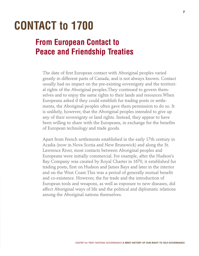# **CONTACT to 1700**

## **From European Contact to Peace and Friendship Treaties**

The date of first European contact with Aboriginal peoples varied greatly in different parts of Canada, and is not always known. Contact usually had no impact on the pre-existing sovereignty and the territorial rights of the Aboriginal peoples.They continued to govern themselves and to enjoy the same rights to their lands and resources.When Europeans asked if they could establish fur trading posts or settlements, the Aboriginal peoples often gave them permission to do so. It is unlikely, however, that the Aboriginal peoples intended to give up any of their sovereignty or land rights. Instead, they appear to have been willing to share with the Europeans, in exchange for the benefits of European technology and trade goods.

Apart from French settlements established in the early 17th century in Acadia (now in Nova Scotia and New Brunswick) and along the St. Lawrence River, most contacts between Aboriginal peoples and Europeans were initially commercial. For example, after the Hudson's Bay Company was created by Royal Charter in 1670, it established fur trading posts, first on Hudson and James Bays and later in the interior and on the West Coast.This was a period of generally mutual benefit and co-existence. However, the fur trade and the introduction of European tools and weapons, as well as exposure to new diseases, did affect Aboriginal ways of life and the political and diplomatic relations among the Aboriginal nations themselves.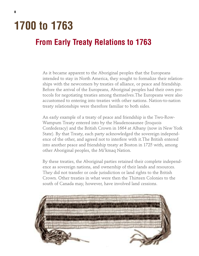# **1700 to 1763**

## **From Early Treaty Relations to 1763**

As it became apparent to the Aboriginal peoples that the Europeans intended to stay in North America, they sought to formalize their relationships with the newcomers by treaties of alliance, or peace and friendship. Before the arrival of the Europeans, Aboriginal peoples had their own protocols for negotiating treaties among themselves.The Europeans were also accustomed to entering into treaties with other nations. Nation-to-nation treaty relationships were therefore familiar to both sides.

An early example of a treaty of peace and friendship is the Two-Row-Wampum Treaty entered into by the Haudenosaunee (Iroquois Confederacy) and the British Crown in 1664 at Albany (now in New York State). By that Treaty, each party acknowledged the sovereign independence of the other, and agreed not to interfere with it.The British entered into another peace and friendship treaty at Boston in 1725 with, among other Aboriginal peoples, the Mi'kmaq Nation.

By these treaties, the Aboriginal parties retained their complete independence as sovereign nations, and ownership of their lands and resources. They did not transfer or cede jurisdiction or land rights to the British Crown. Other treaties in what were then the Thirteen Colonies to the south of Canada may, however, have involved land cessions.

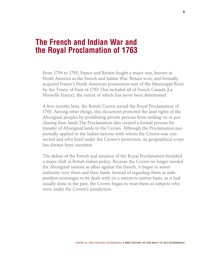### **The French and Indian War and the Royal Proclamation of 1763**

From 1754 to 1763, France and Britain fought a major war, known in North America as the French and Indian War. Britain won, and formally acquired France's North American possessions east of the Mississippi River by the Treaty of Paris of 1763.This included all of French Canada (La Nouvelle France), the extent of which has never been determined.

A few months later, the British Crown issued the Royal Proclamation of 1763. Among other things, this document protected the land rights of the Aboriginal peoples by prohibiting private persons from settling on or purchasing their lands.The Proclamation also created a formal process for transfer of Aboriginal lands to the Crown. Although the Proclamation purportedly applied to the Indian nations with whom the Crown was connected and who lived under the Crown's protection, its geographical scope has always been uncertain.

The defeat of the French and issuance of the Royal Proclamation heralded a major shift in British Indian policy. Because the Crown no longer needed the Aboriginal nations as allies against the French, it began to assert authority over them and their lands. Instead of regarding them as independent sovereigns to be dealt with on a nation-to-nation basis, as it had usually done in the past, the Crown began to treat them as subjects who were under the Crown's jurisdiction.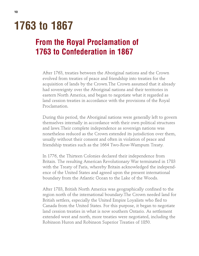# **1763 to 1867**

## **From the Royal Proclamation of 1763 to Confederation in 1867**

After 1763, treaties between the Aboriginal nations and the Crown evolved from treaties of peace and friendship into treaties for the acquisition of lands by the Crown.The Crown assumed that it already had sovereignty over the Aboriginal nations and their territories in eastern North America, and began to negotiate what it regarded as land cession treaties in accordance with the provisions of the Royal Proclamation.

During this period, the Aboriginal nations were generally left to govern themselves internally in accordance with their own political structures and laws.Their complete independence as sovereign nations was nonetheless reduced as the Crown extended its jurisdiction over them, usually without their consent and often in violation of peace and friendship treaties such as the 1664 Two-Row-Wampum Treaty.

In 1776, the Thirteen Colonies declared their independence from Britain. The resulting American Revolutionary War terminated in 1783 with the Treaty of Paris, whereby Britain acknowledged the independence of the United States and agreed upon the present international boundary from the Atlantic Ocean to the Lake of the Woods.

After 1783, British North America was geographically confined to the region north of the international boundary.The Crown needed land for British settlers, especially the United Empire Loyalists who fled to Canada from the United States. For this purpose, it began to negotiate land cession treaties in what is now southern Ontario. As settlement extended west and north, more treaties were negotiated, including the Robinson Huron and Robinson Superior Treaties of 1850.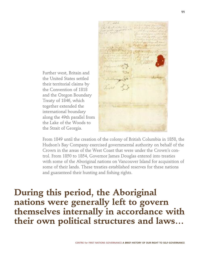Further west, Britain and the United States settled their territorial claims by the Convention of 1818 and the Oregon Boundary Treaty of 1846, which together extended the international boundary along the 49th parallel from the Lake of the Woods to the Strait of Georgia.

From 1849 until the creation of the colony of British Columbia in 1858, the Hudson's Bay Company exercised governmental authority on behalf of the Crown in the areas of the West Coast that were under the Crown's control. From 1850 to 1854, Governor James Douglas entered into treaties with some of the Aboriginal nations on Vancouver Island for acquisition of some of their lands. These treaties established reserves for these nations and guaranteed their hunting and fishing rights.

**During this period, the Aboriginal nations were generally left to govern themselves internally in accordance with their own political structures and laws…**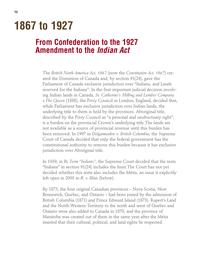# **1867 to 1927**

## **From Confederation to the 1927 Amendment to the** *Indian Act*

The *British North America Act, 1867* (now the *Constitution Act, 1867*) created the Dominion of Canada and, by section 91(24), gave the Parliament of Canada exclusive jurisdiction over "Indians, and Lands reserved for the Indians". In the first important judicial decision involving Indian lands in Canada, *St. Catherine's Milling and Lumber Company v.The Queen* (1888), the Privy Council in London, England, decided that, while Parliament has exclusive jurisdiction over Indian lands, the underlying title to them is held by the provinces. Aboriginal title, described by the Privy Council as "a personal and usufructuary right", is a burden on the provincial Crown's underlying title.The lands are not available as a source of provincial revenue until this burden has been removed. In 1997 in *Delgamuukw v. British Columbia*, the Supreme Court of Canada decided that only the federal government has the constitutional authority to remove this burden because it has exclusive jurisdiction over Aboriginal title.

In 1939, in *Re Term "Indians"*, the Supreme Court decided that the term "Indians" in section 91(24) includes the Inuit.The Court has not yet decided whether this term also includes the Métis, an issue it explicitly left open in 2003 in *R. v. Blais* (below).

By 1873, the four original Canadian provinces – Nova Scotia, New Brunswick, Quebec, and Ontario – had been joined by the admission of British Columbia (1871) and Prince Edward Island (1873). Rupert's Land and the North-Western Territory to the north and west of Quebec and Ontario were also added to Canada in 1870, and the province of Manitoba was created out of them in the same year after the Métis insisted that their cultural, political, and land rights be respected.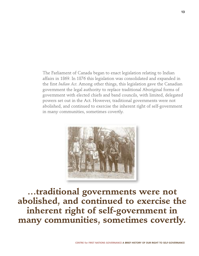The Parliament of Canada began to enact legislation relating to Indian affairs in 1869. In 1876 this legislation was consolidated and expanded in the first *Indian Act*. Among other things, this legislation gave the Canadian government the legal authority to replace traditional Aboriginal forms of government with elected chiefs and band councils, with limited, delegated powers set out in the Act. However, traditional governments were not abolished, and continued to exercise the inherent right of self-government in many communities, sometimes covertly.



**…traditional governments were not abolished, and continued to exercise the inherent right of self-government in many communities, sometimes covertly.**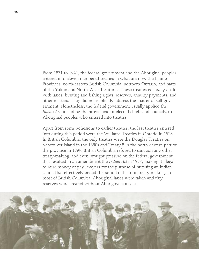From 1871 to 1921, the federal government and the Aboriginal peoples entered into eleven numbered treaties in what are now the Prairie Provinces, north-eastern British Columbia, northern Ontario, and parts of the Yukon and North-West Territories.These treaties generally dealt with lands, hunting and fishing rights, reserves, annuity payments, and other matters. They did not explicitly address the matter of self-government. Nonetheless, the federal government usually applied the *Indian Act*, including the provisions for elected chiefs and councils, to Aboriginal peoples who entered into treaties.

Apart from some adhesions to earlier treaties, the last treaties entered into during this period were the Williams Treaties in Ontario in 1923. In British Columbia, the only treaties were the Douglas Treaties on Vancouver Island in the 1850s and Treaty 8 in the north-eastern part of the province in 1899. British Columbia refused to sanction any other treaty-making, and even brought pressure on the federal government that resulted in an amendment the *Indian Act* in 1927, making it illegal to raise money or pay lawyers for the purpose of pursuing an Indian claim.That effectively ended the period of historic treaty-making. In most of British Columbia, Aboriginal lands were taken and tiny reserves were created without Aboriginal consent.

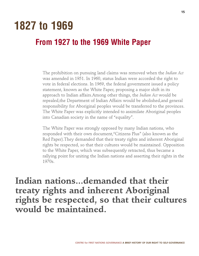## **1827 to 1969**

## **From 1927 to the 1969 White Paper**

The prohibition on pursuing land claims was removed when the *Indian Act* was amended in 1951. In 1960, status Indian were accorded the right to vote in federal elections. In 1969, the federal government issued a policy statement, known as the White Paper, proposing a major shift in its approach to Indian affairs.Among other things, the *Indian Act* would be repealed,the Department of Indian Affairs would be abolished,and general responsibility for Aboriginal peoples would be transferred to the provinces. The White Paper was explicitly intended to assimilate Aboriginal peoples into Canadian society in the name of "equality".

The White Paper was strongly opposed by many Indian nations, who responded with their own document,"Citizens Plus" (also known as the Red Paper).They demanded that their treaty rights and inherent Aboriginal rights be respected, so that their cultures would be maintained. Opposition to the White Paper, which was subsequently retracted, thus became a rallying point for uniting the Indian nations and asserting their rights in the 1970s.

**Indian nations...demanded that their treaty rights and inherent Aboriginal rights be respected, so that their cultures would be maintained.**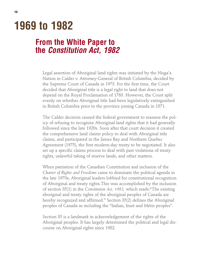# **1969 to 1982**

## **From the White Paper to the** *Constitution Act, 1982*

Legal assertion of Aboriginal land rights was initiated by the Nisga'a Nation in Calder v. Attorney-General of British Columbia, decided by the Supreme Court of Canada in 1973. For the first time, the Court decided that Aboriginal title is a legal right to land that does not depend on the Royal Proclamation of 1763. However, the Court split evenly on whether Aboriginal title had been legislatively extinguished in British Columbia prior to the province joining Canada in 1871.

The Calder decision caused the federal government to reassess the policy of refusing to recognize Aboriginal land rights that it had generally followed since the late 1920s. Soon after that court decision it created the comprehensive land claims policy to deal with Aboriginal title claims, and participated in the James Bay and Northern Quebec Agreement (1975), the first modern-day treaty to be negotiated. It also set up a specific claims process to deal with past violations of treaty rights, unlawful taking of reserve lands, and other matters.

When patriation of the Canadian Constitution and inclusion of the *Charter of Rights and Freedoms* came to dominate the political agenda in the late 1970s, Aboriginal leaders lobbied for constitutional recognition of Aboriginal and treaty rights.This was accomplished by the inclusion of section 35(1) in the *Constitution Act, 1982,* which reads:"The existing aboriginal and treaty rights of the aboriginal peoples of Canada are hereby recognized and affirmed." Section 35(2) defines the Aboriginal peoples of Canada as including the "Indian, Inuit and Métis peoples".

Section 35 is a landmark in acknowledgement of the rights of the Aboriginal peoples. It has largely determined the political and legal discourse on Aboriginal rights since 1982.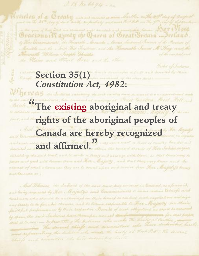1771 e 1083 . O 11 Q 1780 kg mais and somercies as more described on the 25<sup>0</sup> day of accepted the year of the Sout one comment again announced and promising home. South 531002 Graetono ell'apesty che Queen of Great Britain ... Ireland. by Forr Commissioners, the Kingsath Manualer Morris Lindmink General of the President of . Marithe and the Merit This Technics, and the Hancrathe Sames M Hay! would Mercastle William Insph Christie of the one paid and the Stain and Word loves and the other

Gild of Indiana,

I. B. no blog4 - an

must become for superior road described by these **Section 35(1) Constitution Act, 1982:** 

**"The existing aboriginal and treaty rights of the aboriginal peoples of Canada are hereby recognized** and affirmed. *And affirmed. a a a a a a a a a a a a a a* 

entationy the said least, and to make a beary and arrange with them, so that there arey to jance and good sittle basens chose and Lets , turgetty , and that they sury know and be crédencal of estate allowances they are to count appearant resist from Foor. Propoly's bounty and Concretence )

- And Hacens, the Indiand of the said same duty consider in Council, as aforesaid, and being requested by Ker. Majority's said Commissioners to name carain Coheeps and treadment acts should be acceptoringed on their beauty to continue anch negotiations availably any treats to be founded thereon, and to become essponsible to Her Majasty for their failt ful performance by their respective Banda of such obligations as short be assumed<br>by them, the said Indians have thereupon named the fairly to the form to for that purpose and representing the hidroic who would the healty at that Poller the decaral **CENTRE for FIRST NATIONS GOVERNANCE A BRIEF HISTORY OF OUR RIGHT TO SELF-GOVERNANCE**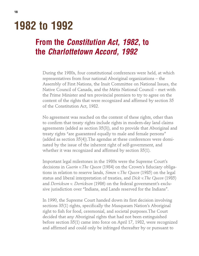# **1982 to 1992**

## **From the** *Constitution Act, 1982***, to the** *Charlottetown Accord, 1992*

During the 1980s, four constitutional conferences were held, at which representatives from four national Aboriginal organizations – the Assembly of First Nations, the Inuit Committee on National Issues, the Native Council of Canada, and the Métis National Council – met with the Prime Minister and ten provincial premiers to try to agree on the content of the rights that were recognized and affirmed by section 35 of the Constitution Act, 1982.

No agreement was reached on the content of these rights, other than to confirm that treaty rights include rights in modern-day land claims agreements (added as section 35(3)), and to provide that Aboriginal and treaty rights "are guaranteed equally to male and female persons" (added as section 35(4)).The agendas at these conferences were dominated by the issue of the inherent right of self-government, and whether it was recognized and affirmed by section 35(1).

Important legal milestones in the 1980s were the Supreme Court's decisions in *Guerin v.The Queen* (1984) on the Crown's fiduciary obligations in relation to reserve lands, *Simon v.The Queen* (1985) on the legal status and liberal interpretation of treaties, and *Dick v.The Queen* (1985) and *Derrickson v. Derrickson* (1986) on the federal government's exclusive jurisdiction over "Indians, and Lands reserved for the Indians".

In 1990, the Supreme Court handed down its first decision involving sections 35(1) rights, specifically the Musqueam Nation's Aboriginal right to fish for food, ceremonial, and societal purposes.The Court decided that any Aboriginal rights that had not been extinguished before section 35(1) came into force on April 17, 1982, were recognized and affirmed and could only be infringed thereafter by or pursuant to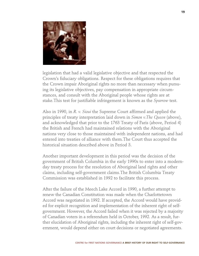

legislation that had a valid legislative objective and that respected the Crown's fiduciary obligations. Respect for these obligations requires that the Crown impair Aboriginal rights no more than necessary when pursuing its legislative objectives, pay compensation in appropriate circumstances, and consult with the Aboriginal people whose rights are at stake.This test for justifiable infringement is known as the *Sparrow* test.

Also in 1990, in *R. v. Sioui* the Supreme Court affirmed and applied the principles of treaty interpretation laid down in *Simon v.The Queen* (above), and acknowledged that prior to the 1763 Treaty of Paris (above, Period 4) the British and French had maintained relations with the Aboriginal nations very close to those maintained with independent nations, and had entered into treaties of alliance with them.The Court thus accepted the historical situation described above in Period 3.

Another important development in this period was the decision of the government of British Columbia in the early 1990s to enter into a modernday treaty process for the resolution of Aboriginal land rights and other claims, including self-government claims.The British Columbia Treaty Commission was established in 1992 to facilitate this process.

After the failure of the Meech Lake Accord in 1990, a further attempt to renew the Canadian Constitution was made when the Charlottetown Accord was negotiated in 1992. If accepted, the Accord would have provided for explicit recognition and implementation of the inherent right of selfgovernment. However, the Accord failed when it was rejected by a majority of Canadian voters in a referendum held in October, 1992. As a result, further elucidation of Aboriginal rights, including the inherent right of self-government, would depend either on court decisions or negotiated agreements.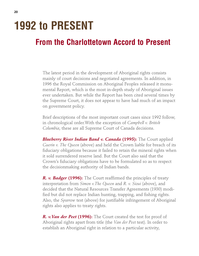# **1992 to PRESENT**

## **From the Charlottetown Accord to Present**

The latest period in the development of Aboriginal rights consists mainly of court decisions and negotiated agreements. In addition, in 1996 the Royal Commission on Aboriginal Peoples released it monumental Report, which is the most in-depth study of Aboriginal issues ever undertaken. But while the Report has been cited several times by the Supreme Court, it does not appear to have had much of an impact on government policy.

Brief descriptions of the most important court cases since 1992 follow, in chronological order.With the exception of *Campbell v. British Columbia*, these are all Supreme Court of Canada decisions.

*Blueberry River Indian Band v. Canada* **(1995):** The Court applied *Guerin v. The Queen* (above) and held the Crown liable for breach of its fiduciary obligations because it failed to retain the mineral rights when it sold surrendered reserve land. But the Court also said that the Crown's fiduciary obligations have to be formulated so as to respect the decisionmaking authority of Indian bands.

*R. v. Badger* **(1996):** The Court reaffirmed the principles of treaty interpretation from *Simon v.The Queen* and *R. v. Sioui* (above), and decided that the Natural Resources Transfer Agreements (1930) modified but did not replace Indian hunting, trapping, and fishing rights. Also, the *Sparrow* test (above) for justifiable infringement of Aboriginal rights also applies to treaty rights.

*R. v.Van der Peet* **(1996):** The Court created the test for proof of Aboriginal rights apart from title (the *Van der Peet* test). In order to establish an Aboriginal right in relation to a particular activity,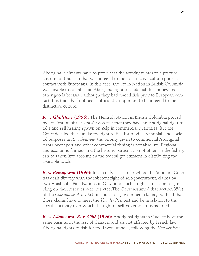Aboriginal claimants have to prove that the activity relates to a practice, custom, or tradition that was integral to their distinctive culture prior to contact with Europeans. In this case, the Sto:lo Nation in British Columbia was unable to establish an Aboriginal right to trade fish for money and other goods because, although they had traded fish prior to European contact, this trade had not been sufficiently important to be integral to their distinctive culture.

*R. v. Gladstone* **(1996):** The Heiltsuk Nation in British Columbia proved by application of the *Van der Peet* test that they have an Aboriginal right to take and sell herring spawn on kelp in commercial quantities. But the Court decided that, unlike the right to fish for food, ceremonial, and societal purposes in *R. v. Sparrow,* the priority given to commercial Aboriginal rights over sport and other commercial fishing is not absolute. Regional and economic fairness and the historic participation of others in the fishery can be taken into account by the federal government in distributing the available catch.

*R. v. Pamajewon* **(1996):** In the only case so far where the Supreme Court has dealt directly with the inherent right of self-government, claims by two Anishnabe First Nations in Ontario to such a right in relation to gambling on their reserves were rejected.The Court assumed that section 35(1) of the *Constitution Act, 1982*, includes self-government claims, but held that those claims have to meet the *Van der Peet* test and be in relation to the specific activity over which the right of self-government is asserted.

*R. v. Adams* **and** *R. v. Côté* **(1996):** Aboriginal rights in Quebec have the same basis as in the rest of Canada, and are not affected by French law. Aboriginal rights to fish for food were upheld, following the *Van der Peet*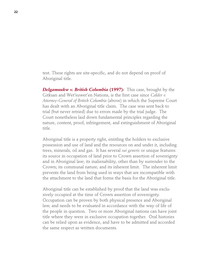test. These rights are site-specific, and do not depend on proof of Aboriginal title.

*Delgamuukw v. British Columbia* **(1997):** This case, brought by the Gitksan and Wet'suwet'en Nations, is the first case since *Calder v. Attorney-General of British Columbia* (above) in which the Supreme Court has dealt with an Aboriginal title claim. The case was sent back to trial (but never retried) due to errors made by the trial judge. The Court nonetheless laid down fundamental principles regarding the nature, content, proof, infringement, and extinguishment of Aboriginal title.

Aboriginal title is a property right, entitling the holders to exclusive possession and use of land and the resources on and under it, including trees, minerals, oil and gas. It has several *sui generis* or unique features: its source in occupation of land prior to Crown assertion of sovereignty and in Aboriginal law; its inalienability, other than by surrender to the Crown; its communal nature; and its inherent limit. The inherent limit prevents the land from being used in ways that are incompatible with the attachment to the land that forms the basis for the Aboriginal title.

Aboriginal title can be established by proof that the land was exclusively occupied at the time of Crown assertion of sovereignty. Occupation can be proven by both physical presence and Aboriginal law, and needs to be evaluated in accordance with the way of life of the people in question. Two or more Aboriginal nations can have joint title where they were in exclusive occupation together. Oral histories can be relied upon as evidence, and have to be admitted and accorded the same respect as written documents.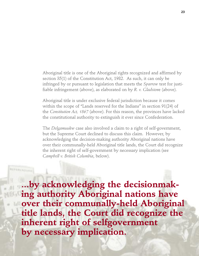Aboriginal title is one of the Aboriginal rights recognized and affirmed by section 35(1) of the Constitution Act, 1982. As such, it can only be infringed by or pursuant to legislation that meets the *Sparrow* test for justifiable infringement (above), as elaborated on by *R. v. Gladston*e (above).

Aboriginal title is under exclusive federal jurisdiction because it comes within the scope of "Lands reserved for the Indians" in section 91(24) of the *Constitution Act, 1867* (above). For this reason, the provinces have lacked the constitutional authority to extinguish it ever since Confederation.

The *Delgamuukw* case also involved a claim to a right of self-government, but the Supreme Court declined to discuss this claim. However, by acknowledging the decision-making authority Aboriginal nations have over their communally-held Aboriginal title lands, the Court did recognize the inherent right of self-government by necessary implication (see *Campbell v. British Columbia*, below).

**REFERENC** 

**...by acknowledging the decisionmaking authority Aboriginal nations have over their communally-held Aboriginal title lands, the Court did recognize the inherent right of selfgovernment by necessary implication.**

**CENTRE for FIRST NATIONS GOVERNANCE A BRIEF HISTORY OF OUR RIGHT TO SELF-GOVERNANCE**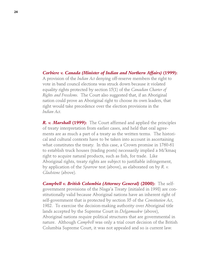### *Corbiere v. Canada (Minister of Indian and Northern Affairs)* **(1999):**

A provision of the *Indian Act* denying off-reserve members the right to vote in band council elections was struck down because it violated equality rights protected by section 15(1) of the *Canadian Charter of Rights and Freedoms.* The Court also suggested that, if an Aboriginal nation could prove an Aboriginal right to choose its own leaders, that right would take precedence over the election provisions in the *Indian Act*.

*R. v. Marshall* **(1999):** The Court affirmed and applied the principles of treaty interpretation from earlier cases, and held that oral agreements are as much a part of a treaty as the written terms. The historical and cultural contexts have to be taken into account in ascertaining what constitutes the treaty. In this case, a Crown promise in 1760-61 to establish truck houses (trading posts) necessarily implied a Mi'kmaq right to acquire natural products, such as fish, for trade. Like Aboriginal rights, treaty rights are subject to justifiable infringement, by application of the *Sparrow* test (above), as elaborated on by *R. v. Gladstone* (above).

*Campbell v. British Columbia (Attorney General)* **(2000):** The selfgovernment provisions of the Nisga'a Treaty (initialed in 1998) are constitutionally valid because Aboriginal nations have an inherent right of self-government that is protected by section 35 of the *Constitution Act*, 1982. To exercise the decision-making authority over Aboriginal title lands accepted by the Supreme Court in *Delgamuukw* (above), Aboriginal nations require political structures that are governmental in nature. Although *Campbell* was only a trial court decision of the British Columbia Supreme Court, it was not appealed and so is current law.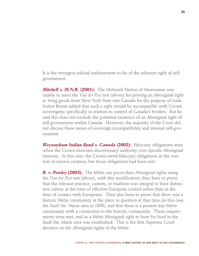It is the strongest judicial endorsement so far of the inherent right of selfgovernment.

*Mitchell v. M.N.R.* **(2001):** The Mohawk Nation of Akwesasne was unable to meet the *Van der Peet* test (above) for proving an Aboriginal right to bring goods from New York State into Canada for the purpose of trade. Justice Binnie added that such a right would be incompatible with Crown sovereignty, specifically in relation to control of Canada's borders. But he said this does not exclude the potential existence of an Aboriginal right of self-government within Canada. However, the majority of the Court did not discuss these issues of sovereign incompatibility and internal self-government.

*Weywaykum Indian Band v. Canada* **(2002):** Fiduciary obligations arise when the Crown exercises discretionary authority over specific Aboriginal interests. In this case, the Crown owed fiduciary obligations in the context of reserve creation, but those obligations had been met.

*R. v. Powley* **(2003):** The Métis can prove their Aboriginal rights using the *Van der Peet* test (above), with this modification: they have to prove that the relevant practice, custom, or tradition was integral to their distinctive culture at the time of effective European control rather than at the time of contact with Europeans. They also have to prove that there was a historic Métis community at the place in question at that time (in this case, the Sault Ste. Marie area in 1850), and that there is a present-day Métis community with a connection to the historic community. These requirements were met, and so a Métis Aboriginal right to hunt for food in the Sault Ste. Marie area was established. This is the first Supreme Court decision on the Aboriginal rights of the Métis.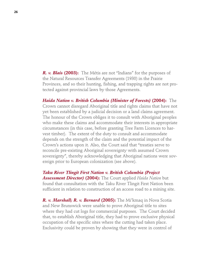*R. v. Blais* **(2003):** The Métis are not "Indians" for the purposes of the Natural Resources Transfer Agreements (1930) in the Prairie Provinces, and so their hunting, fishing, and trapping rights are not protected against provincial laws by those Agreements.

*Haida Nation v. British Columbia (Minister of Forests)* **(2004):** The Crown cannot disregard Aboriginal title and rights claims that have not yet been established by a judicial decision or a land claims agreement. The honour of the Crown obliges it to consult with Aboriginal peoples who make these claims and accommodate their interests in appropriate circumstances (in this case, before granting Tree Farm Licences to harvest timber). The extent of the duty to consult and accommodate depends on the strength of the claim and the potential impact of the Crown's actions upon it. Also, the Court said that "treaties serve to reconcile pre-existing Aboriginal sovereignty with assumed Crown sovereignty", thereby acknowledging that Aboriginal nations were sovereign prior to European colonization (see above).

*Taku River Tlingit First Nation v. British Columbia (Project Assessment Director)* **(2004):** The Court applied *Haida Nation* but found that consultation with the Taku River Tlingit First Nation been sufficient in relation to construction of an access road to a mining site.

*R. v. Marshall; R. v. Bernard* **(2005):** The Mi'kmaq in Nova Scotia and New Brunswick were unable to prove Aboriginal title to sites where they had cut logs for commercial purposes. The Court decided that, to establish Aboriginal title, they had to prove exclusive physical occupation of the specific sites where the cutting had taken place. Exclusivity could be proven by showing that they were in control of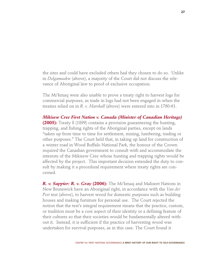the sites and could have excluded others had they chosen to do so. Unlike in *Delgamuukw* (above), a majority of the Court did not discuss the relevance of Aboriginal law to proof of exclusive occupation.

The Mi'kmaq were also unable to prove a treaty right to harvest logs for commercial purposes, as trade in logs had not been engaged in when the treaties relied on in *R. v. Marshall* (above) were entered into in 1760-61.

*Mikisew Cree First Nation v. Canada (Minister of Canadian Heritage)* **(2005):** Treaty 8 (1899) contains a provision guaranteeing the hunting, trapping, and fishing rights of the Aboriginal parties, except on lands "taken up from time to time for settlement, mining, lumbering, trading or other purposes." The Court held that, in taking up land for construction of a winter road in Wood Buffalo National Park, the honour of the Crown required the Canadian government to consult with and accommodate the interests of the Mikisew Cree whose hunting and trapping rights would be affected by the project. This important decision extended the duty to consult by making it a procedural requirement where treaty rights are concerned.

*R. v. Sappier: R. v. Gray* **(2006):** The Mi'kmaq and Maliseet Nations in New Brunswick have an Aboriginal right, in accordance with the *Van der Peet* test (above), to harvest wood for domestic purposes such as building houses and making furniture for personal use. The Court rejected the notion that the test's integral requirement means that the practice, custom, or tradition must be a core aspect of their identity or a defining feature of their cultures so that their societies would be fundamentally altered without it. Instead, it is sufficient if the practice of harvesting wood was undertaken for survival purposes, as in this case. The Court found it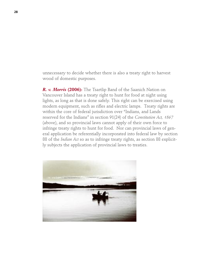unnecessary to decide whether there is also a treaty right to harvest wood of domestic purposes.

*R. v. Morris* **(2006):** The Tsartlip Band of the Saanich Nation on Vancouver Island has a treaty right to hunt for food at night using lights, as long as that is done safely. This right can be exercised using modern equipment, such as rifles and electric lamps. Treaty rights are within the core of federal jurisdiction over "Indians, and Lands reserved for the Indians" in section 91(24) of the *Constitution Act, 1867* (above), and so provincial laws cannot apply of their own force to infringe treaty rights to hunt for food. Nor can provincial laws of general application be referentially incorporated into federal law by section 88 of the *Indian Act* so as to infringe treaty rights, as section 88 explicitly subjects the application of provincial laws to treaties.

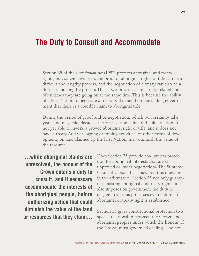## **The Duty to Consult and Accommodate**

Section 35 of the *Constitution Act* (1982) protects aboriginal and treaty rights, but, as we have seen, the proof of aboriginal rights or title can be a difficult and lengthy process, and the negotiation of a treaty can also be a difficult and lengthy process.These two processes are closely related and often times they are going on at the same time.This is because the ability of a First Nation to negotiate a treaty will depend on persuading government that there is a credible claim to aboriginal title.

During the period of proof and/or negotiation, which will certainly take years and may take decades, the First Nation is in a difficult situation. It is not yet able to invoke a proved aboriginal right or title, and it does not have a treaty.And yet logging or mining activities, or other forms of development, on land claimed by the First Nation, may diminish the value of the resource.

**…while aboriginal claims are unresolved, the honour of the Crown entails a duty to consult, and if necessary accommodate the interests of the aboriginal people, before authorizing action that could diminish the value of the land or resources that they claim…**

Does Section 35 provide any interim protection for aboriginal interests that are still unproved or under negotiation? The Supreme Court of Canada has answered this question in the affirmative. Section 35 not only guarantees existing aboriginal and treaty rights, it also imposes on government the duty to engage in various processes even before an aboriginal or treaty right is established.

Section 35 gives constitutional protection to a special relationship between the Crown and aboriginal peoples under which the honour of the Crown must govern all dealings.The hon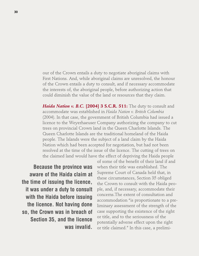our of the Crown entails a duty to negotiate aboriginal claims with First Nations. And, while aboriginal claims are unresolved, the honour of the Crown entails a duty to consult, and if necessary accommodate the interests of, the aboriginal people, before authorizing action that could diminish the value of the land or resources that they claim.

*Haida Nation v. B.C.* **[2004] 3 S.C.R. 511:** The duty to consult and accommodate was established in *Haida Nation v. British Columbia* (2004). In that case, the government of British Columbia had issued a licence to the Weyerhaeuser Company authorizing the company to cut trees on provincial Crown land in the Queen Charlotte Islands. The Queen Charlotte Islands are the traditional homeland of the Haida people. The Islands were the subject of a land claim by the Haida Nation which had been accepted for negotiation, but had not been resolved at the time of the issue of the licence. The cutting of trees on the claimed land would have the effect of depriving the Haida people

**Because the province was aware of the Haida claim at the time of issuing the licence, it was under a duty to consult with the Haida before issuing the licence. Not having done so, the Crown was in breach of Section 35, and the licence was invalid.**

of some of the benefit of their land if and when their title was established. The Supreme Court of Canada held that, in these circumstances, Section 35 obliged the Crown to consult with the Haida people, and, if necessary, accommodate their concerns.The extent of consultation and accommodation "is proportionate to a preliminary assessment of the strength of the case supporting the existence of the right or title, and to the seriousness of the potentially adverse effect upon the right or title claimed." In this case, a prelimi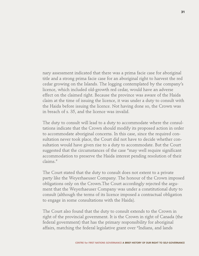nary assessment indicated that there was a prima facie case for aboriginal title and a strong prima facie case for an aboriginal right to harvest the red cedar growing on the Islands. The logging contemplated by the company's licence, which included old-growth red cedar, would have an adverse effect on the claimed right. Because the province was aware of the Haida claim at the time of issuing the licence, it was under a duty to consult with the Haida before issuing the licence. Not having done so, the Crown was in breach of s. 35, and the licence was invalid.

The duty to consult will lead to a duty to accommodate where the consultations indicate that the Crown should modify its proposed action in order to accommodate aboriginal concerns. In this case, since the required consultation never took place, the Court did not have to decide whether consultation would have given rise to a duty to accommodate. But the Court suggested that the circumstances of the case "may well require significant accommodation to preserve the Haida interest pending resolution of their claims."

The Court stated that the duty to consult does not extent to a private party like the Weyerhaeuser Company. The honour of the Crown imposed obligations only on the Crown.The Court accordingly rejected the argument that the Weyerhaeuser Company was under a constitutional duty to consult (although the terms of its licence imposed a contractual obligation to engage in some consultations with the Haida).

The Court also found that the duty to consult extends to the Crown in right of the provincial government. It is the Crown in right of Canada (the federal government) that has the primary responsibility for aboriginal affairs, matching the federal legislative grant over "Indians, and lands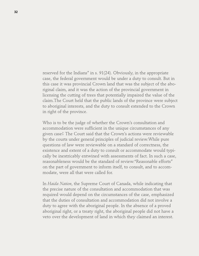reserved for the Indians" in s. 91(24). Obviously, in the appropriate case, the federal government would be under a duty to consult. But in this case it was provincial Crown land that was the subject of the aboriginal claim, and it was the action of the provincial government in licensing the cutting of trees that potentially impaired the value of the claim.The Court held that the public lands of the province were subject to aboriginal interests, and the duty to consult extended to the Crown in right of the province.

Who is to be the judge of whether the Crown's consultation and accommodation were sufficient in the unique circumstances of any given case? The Court said that the Crown's actions were reviewable by the courts under general principles of judicial review.While pure questions of law were reviewable on a standard of correctness, the existence and extent of a duty to consult or accommodate would typically be inextricably entwined with assessments of fact. In such a case, reasonableness would be the standard of review."Reasonable efforts" on the part of government to inform itself, to consult, and to accommodate, were all that were called for.

In *Haida Nation*, the Supreme Court of Canada, while indicating that the precise nature of the consultation and accommodation that was required would depend on the circumstances of the case, emphasized that the duties of consultation and accommodation did not involve a duty to agree with the aboriginal people. In the absence of a proved aboriginal right, or a treaty right, the aboriginal people did not have a veto over the development of land in which they claimed an interest.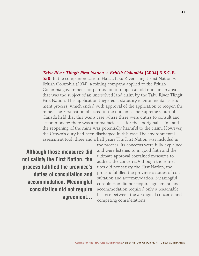### *Taku River Tlingit First Nation v. British Columbia* **[2004] 3 S.C.R.**

**550:** In the companion case to Haida,Taku River Tlingit First Nation v. British Columbia (2004), a mining company applied to the British Columbia government for permission to reopen an old mine in an area that was the subject of an unresolved land claim by the Taku River Tlingit First Nation. This application triggered a statutory environmental assessment process, which ended with approval of the application to reopen the mine. The First nation objected to the outcome.The Supreme Court of Canada held that this was a case where there were duties to consult and accommodate: there was a prima facie case for the aboriginal claim, and the reopening of the mine was potentially harmful to the claim. However, the Crown's duty had been discharged in this case.The environmental assessment took three and a half years.The First Nation was included in

**Although those measures did not satisfy the First Nation, the process fulfilled the province's duties of consultation and accommodation. Meaningful consultation did not require agreement...**

the process. Its concerns were fully explained and were listened to in good faith and the ultimate approval contained measures to address the concerns.Although those measures did not satisfy the First Nation, the process fulfilled the province's duties of consultation and accommodation. Meaningful consultation did not require agreement, and accommodation required only a reasonable balance between the aboriginal concerns and competing considerations.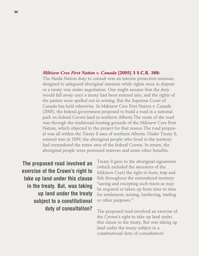#### *Mikisew Cree First Nation v. Canada* **[2005] 3 S.C.R. 388:**

The Haida Nation duty to consult was an interim protection measure, designed to safeguard aboriginal interests while rights were in dispute or a treaty was under negotiation. One might assume that the duty would fall away once a treaty had been entered into, and the rights of the parties were spelled out in writing. But the Supreme Court of Canada has held otherwise. In Mikisew Cree First Nation v. Canada (2005), the federal government proposed to build a road in a national park on federal Crown land in northern Alberta.The route of the road was through the traditional hunting grounds of the Mikisew Cree First Nation, which objected to the project for that reason.The road proposal was all within the Treaty 8 area of northern Alberta. Under Treaty 8, entered into in 1899, the aboriginal people who lived in the territory had surrendered the entire area of the federal Crown. In return, the aboriginal people were promised reserves and some other benefits.

**The proposed road involved an exercise of the Crown's right to take up land under this clause in the treaty. But, was taking up land under the treaty subject to a constitutional duty of consultation?**

Treaty 8 gave to the aboriginal signatories (which included the ancestors of the Mikisew Cree) the right to hunt, trap and fish throughout the surrendered territory "saving and excepting such tracts as may be required or taken up from time to time for settlement, mining, lumbering, trading or other purposes."

The proposed road involved an exercise of the Crown's right to take up land under this clause in the treaty. But was taking up land under the treaty subject to a constitutional duty of consultation?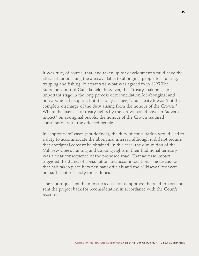It was true, of course, that land taken up for development would have the effect of diminishing the area available to aboriginal people for hunting, trapping and fishing, but that was what was agreed to in 1899.The Supreme Court of Canada held, however, that "treaty making is an important stage in the long process of reconciliation [of aboriginal and non-aboriginal peoples], but it is only a stage;" and Treaty 8 was "not the complete discharge of the duty arising from the honour of the Crown." Where the exercise of treaty rights by the Crown could have an "adverse impact" on aboriginal people, the honour of the Crown required consultation with the affected people.

In "appropriate" cases (not defined), the duty of consultation would lead to a duty to accommodate the aboriginal interest, although it did not require that aboriginal consent be obtained. In this case, the diminution of the Mikisew Cree's hunting and trapping rights in their traditional territory was a clear consequence of the proposed road. That adverse impact triggered the duties of consultation and accommodation. The discussions that had taken place between park officials and the Mikisew Cree were not sufficient to satisfy those duties.

The Court quashed the minister's decision to approve the road project and sent the project back for reconsideration in accordance with the Court's reasons.